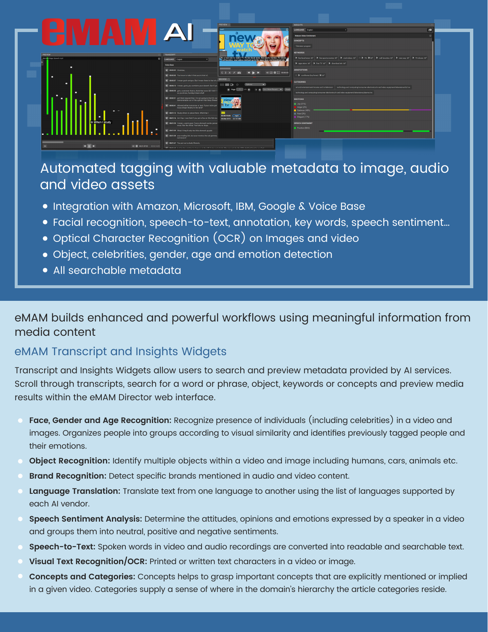

# Automated tagging with valuable metadata to image, audio and video assets

- **.** Integration with Amazon, Microsoft, IBM, Google & Voice Base
- Facial recognition, speech-to-text, annotation, key words, speech sentiment…
- Optical Character Recognition (OCR) on Images and video
- Object, celebrities, gender, age and emotion detection
- All searchable metadata

## eMAM builds enhanced and powerful workflows using meaningful information from media content

### eMAM Transcript and Insights Widgets

Transcript and Insights Widgets allow users to search and preview metadata provided by AI services. Scroll through transcripts, search for a word or phrase, object, keywords or concepts and preview media results within the eMAM Director web interface.

- **Face, Gender and Age Recognition:** Recognize presence of individuals (including celebrities) in a video and images. Organizes people into groups according to visual similarity and identifies previously tagged people and their emotions.
- **Object Recognition:** Identify multiple objects within a video and image including humans, cars, animals etc.
- **Brand Recognition:** Detect specific brands mentioned in audio and video content.
- **Language Translation:** Translate text from one language to another using the list of languages supported by each AI vendor.
- **Speech Sentiment Analysis:** Determine the attitudes, opinions and emotions expressed by a speaker in a video and groups them into neutral, positive and negative sentiments.
- **Speech-to-Text:** Spoken words in video and audio recordings are converted into readable and searchable text.
- **Visual Text Recognition/OCR:** Printed or written text characters in a video or image.
- **Concepts and Categories:** Concepts helps to grasp important concepts that are explicitly mentioned or implied in a given video. Categories supply a sense of where in the domain's hierarchy the article categories reside.